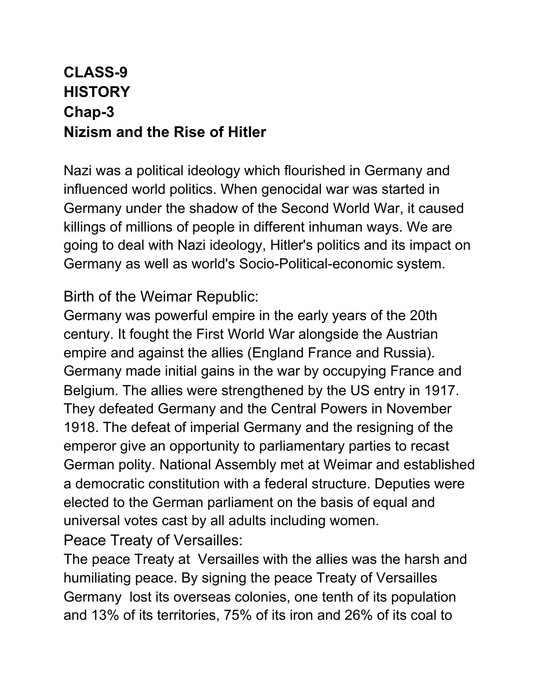## **CLASS-9 HISTORY Chap-3 Nizism and the Rise of Hitler**

Nazi was a political ideology which flourished in Germany and influenced world politics. When genocidal war was started in Germany under the shadow of the Second World War, it caused killings of millions of people in different inhuman ways. We are going to deal with Nazi ideology, Hitler's politics and its impact on Germany as well as world's Socio-Political-economic system.

Birth of the Weimar Republic:

Germany was powerful empire in the early years of the 20th century. It fought the First World War alongside the Austrian empire and against the allies (England France and Russia). Germany made initial gains in the war by occupying France and Belgium. The allies were strengthened by the US entry in 1917. They defeated Germany and the Central Powers in November 1918. The defeat of imperial Germany and the resigning of the emperor give an opportunity to parliamentary parties to recast German polity. National Assembly met at Weimar and established a democratic constitution with a federal structure. Deputies were elected to the German parliament on the basis of equal and universal votes cast by all adults including women. Peace Treaty of Versailles:

The peace Treaty at Versailles with the allies was the harsh and humiliating peace. By signing the peace Treaty of Versailles Germany lost its overseas colonies, one tenth of its population and 13% of its territories, 75% of its iron and 26% of its coal to